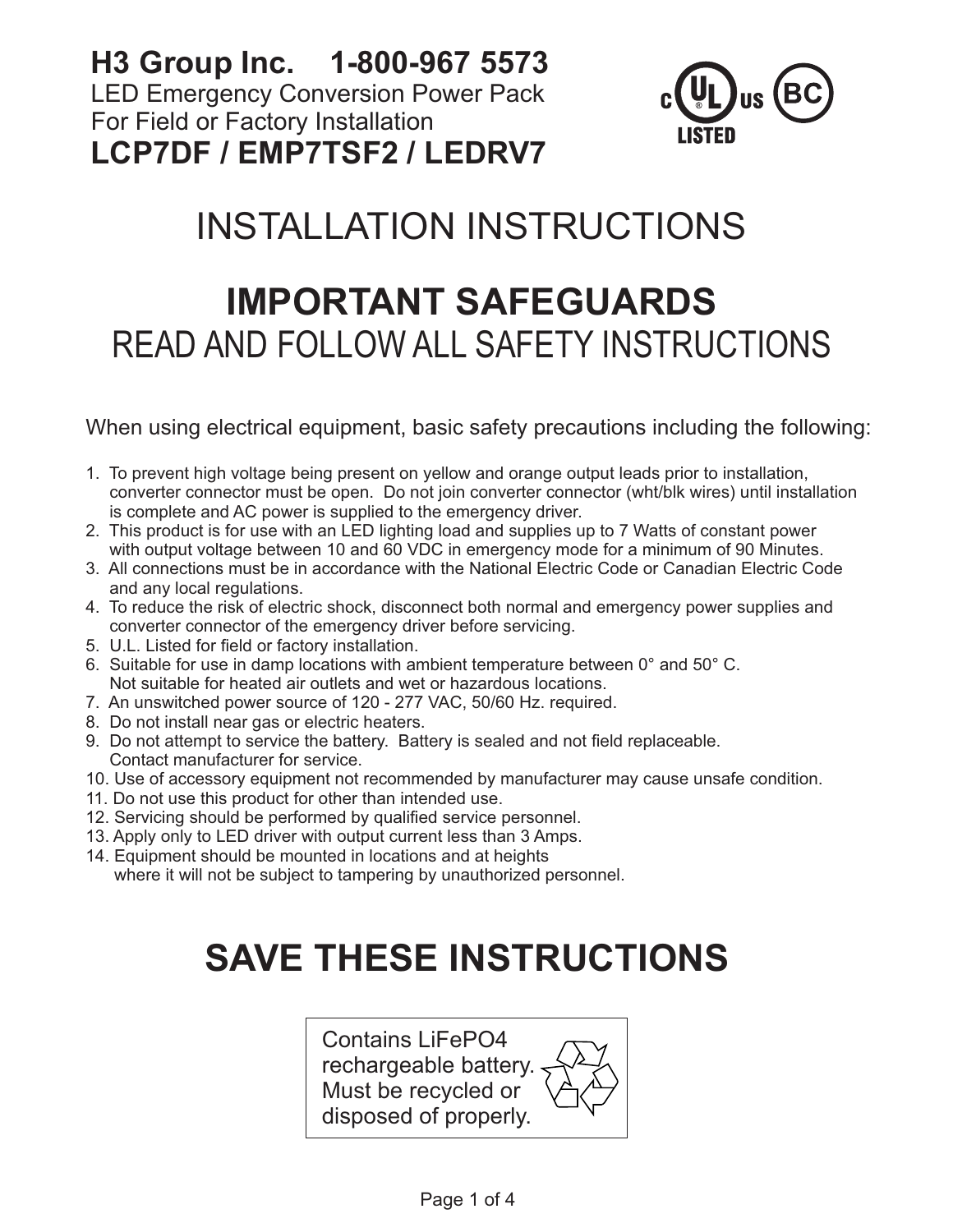**H3 Group Inc. 1-800-967 5573** LED Emergency Conversion Power Pack For Field or Factory Installation **LCP7DF / EMP7TSF2 / LEDRV7**



# INSTALLATION INSTRUCTIONS

## **IMPORTANT SAFEGUARDS** READ AND FOLLOW ALL SAFETY INSTRUCTIONS

When using electrical equipment, basic safety precautions including the following:

- 1. To prevent high voltage being present on yellow and orange output leads prior to installation, converter connector must be open. Do not join converter connector (wht/blk wires) until installation is complete and AC power is supplied to the emergency driver.
- 2. This product is for use with an LED lighting load and supplies up to 7 Watts of constant power with output voltage between 10 and 60 VDC in emergency mode for a minimum of 90 Minutes.
- 3. All connections must be in accordance with the National Electric Code or Canadian Electric Code and any local regulations.
- 4. To reduce the risk of electric shock, disconnect both normal and emergency power supplies and converter connector of the emergency driver before servicing.
- 5. U.L. Listed for field or factory installation.
- 6. Suitable for use in damp locations with ambient temperature between 0° and 50° C. Not suitable for heated air outlets and wet or hazardous locations.
- 7. An unswitched power source of 120 277 VAC, 50/60 Hz. required.
- 8. Do not install near gas or electric heaters.
- 9. Do not attempt to service the battery. Battery is sealed and not field replaceable. Contact manufacturer for service.
- 10. Use of accessory equipment not recommended by manufacturer may cause unsafe condition.
- 11. Do not use this product for other than intended use.
- 12. Servicing should be performed by qualified service personnel.
- 13. Apply only to LED driver with output current less than 3 Amps.
- 14. Equipment should be mounted in locations and at heights where it will not be subject to tampering by unauthorized personnel.

# **SAVE THESE INSTRUCTIONS**

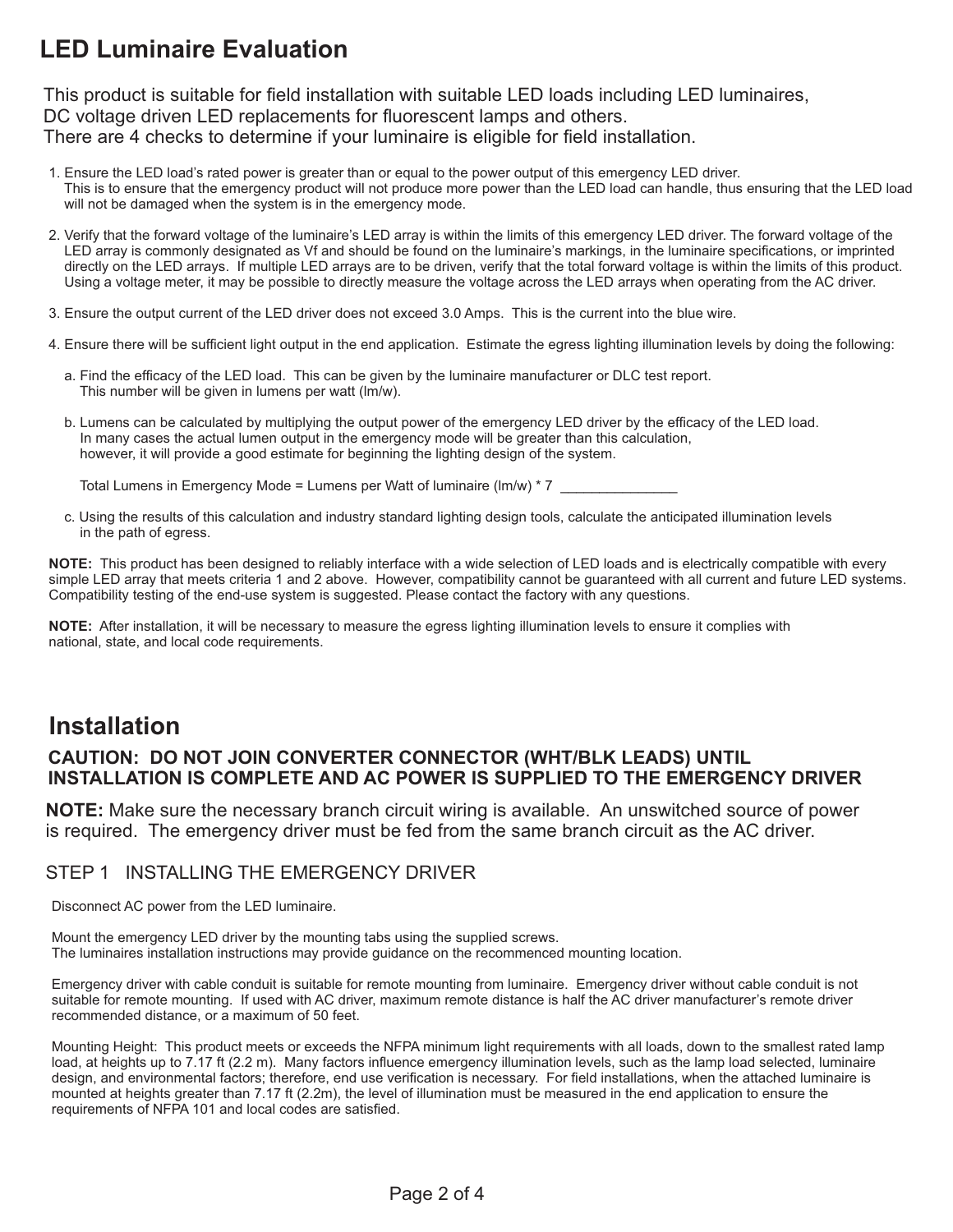## **LED Luminaire Evaluation**

This product is suitable for field installation with suitable LED loads including LED luminaires, DC voltage driven LED replacements for fluorescent lamps and others. There are 4 checks to determine if your luminaire is eligible for field installation.

- 1. Ensure the LED load's rated power is greater than or equal to the power output of this emergency LED driver. This is to ensure that the emergency product will not produce more power than the LED load can handle, thus ensuring that the LED load will not be damaged when the system is in the emergency mode.
- 2. Verify that the forward voltage of the luminaire's LED array is within the limits of this emergency LED driver. The forward voltage of the LED array is commonly designated as Vf and should be found on the luminaire's markings, in the luminaire specifications, or imprinted directly on the LED arrays. If multiple LED arrays are to be driven, verify that the total forward voltage is within the limits of this product. Using a voltage meter, it may be possible to directly measure the voltage across the LED arrays when operating from the AC driver.
- 3. Ensure the output current of the LED driver does not exceed 3.0 Amps. This is the current into the blue wire.
- 4. Ensure there will be sufficient light output in the end application. Estimate the egress lighting illumination levels by doing the following:
	- a. Find the efficacy of the LED load. This can be given by the luminaire manufacturer or DLC test report. This number will be given in lumens per watt (lm/w).
	- b. Lumens can be calculated by multiplying the output power of the emergency LED driver by the efficacy of the LED load. In many cases the actual lumen output in the emergency mode will be greater than this calculation, however, it will provide a good estimate for beginning the lighting design of the system.

Total Lumens in Emergency Mode = Lumens per Watt of luminaire (lm/w)  $*$  7

 c. Using the results of this calculation and industry standard lighting design tools, calculate the anticipated illumination levels in the path of egress.

**NOTE:** This product has been designed to reliably interface with a wide selection of LED loads and is electrically compatible with every simple LED array that meets criteria 1 and 2 above. However, compatibility cannot be guaranteed with all current and future LED systems. Compatibility testing of the end-use system is suggested. Please contact the factory with any questions.

**NOTE:** After installation, it will be necessary to measure the egress lighting illumination levels to ensure it complies with national, state, and local code requirements.

### **Installation**

#### **CAUTION: DO NOT JOIN CONVERTER CONNECTOR (WHT/BLK LEADS) UNTIL INSTALLATION IS COMPLETE AND AC POWER IS SUPPLIED TO THE EMERGENCY DRIVER**

**NOTE:** Make sure the necessary branch circuit wiring is available. An unswitched source of power is required. The emergency driver must be fed from the same branch circuit as the AC driver.

#### STEP 1 INSTALLING THE EMERGENCY DRIVER

Disconnect AC power from the LED luminaire.

Mount the emergency LED driver by the mounting tabs using the supplied screws. The luminaires installation instructions may provide guidance on the recommenced mounting location.

Emergency driver with cable conduit is suitable for remote mounting from luminaire. Emergency driver without cable conduit is not suitable for remote mounting. If used with AC driver, maximum remote distance is half the AC driver manufacturer's remote driver recommended distance, or a maximum of 50 feet.

Mounting Height: This product meets or exceeds the NFPA minimum light requirements with all loads, down to the smallest rated lamp load, at heights up to 7.17 ft (2.2 m). Many factors influence emergency illumination levels, such as the lamp load selected, luminaire design, and environmental factors; therefore, end use verification is necessary. For field installations, when the attached luminaire is mounted at heights greater than 7.17 ft (2.2m), the level of illumination must be measured in the end application to ensure the requirements of NFPA 101 and local codes are satisfied.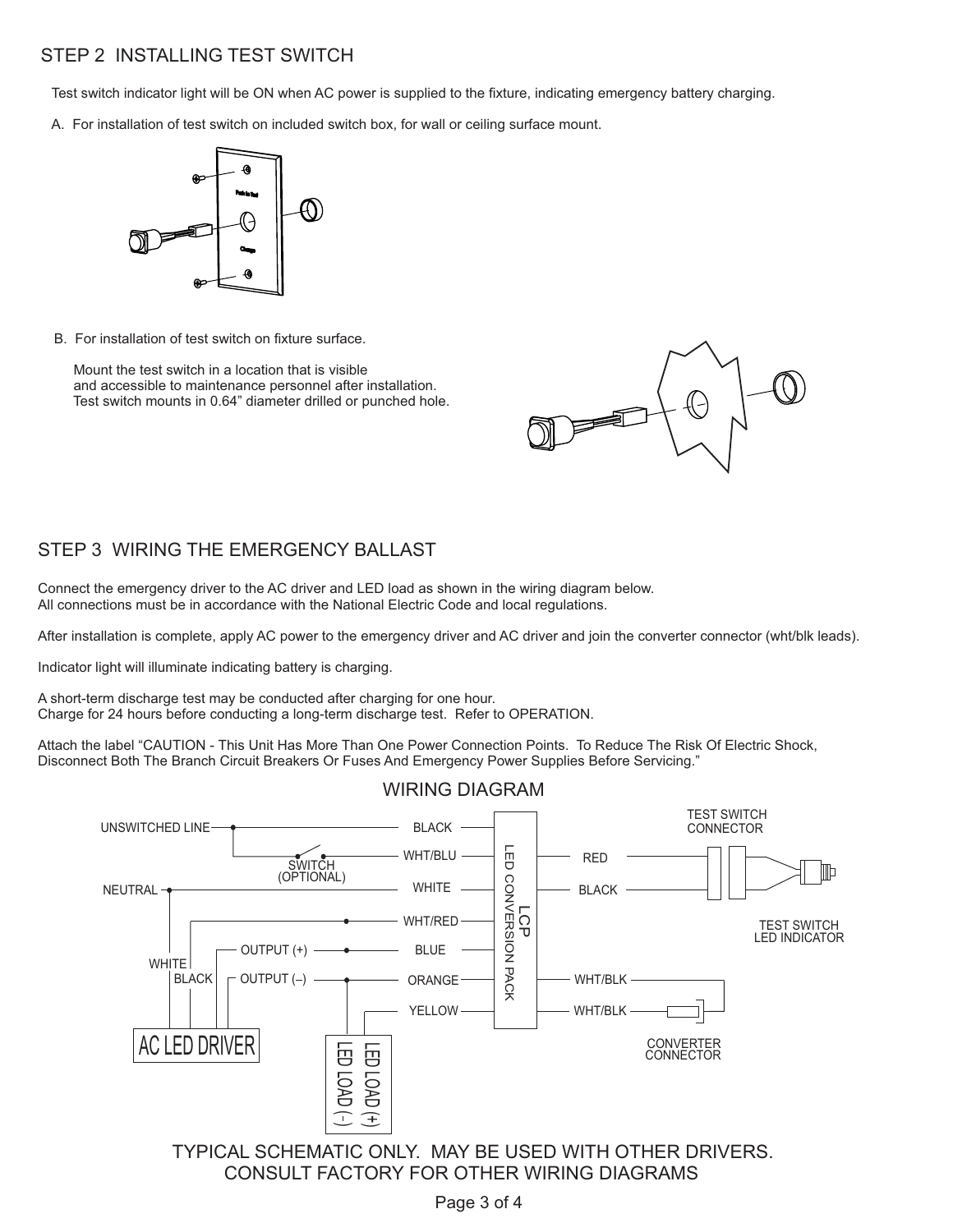#### STEP 2 INSTALLING TEST SWITCH

Test switch indicator light will be ON when AC power is supplied to the fixture, indicating emergency battery charging.

A. For installation of test switch on included switch box, for wall or ceiling surface mount.



B. For installation of test switch on fixture surface.

 Mount the test switch in a location that is visible and accessible to maintenance personnel after installation. Test switch mounts in 0.64" diameter drilled or punched hole.



#### STEP 3 WIRING THE EMERGENCY BALLAST

Connect the emergency driver to the AC driver and LED load as shown in the wiring diagram below. All connections must be in accordance with the National Electric Code and local regulations.

After installation is complete, apply AC power to the emergency driver and AC driver and join the converter connector (wht/blk leads).

Indicator light will illuminate indicating battery is charging.

A short-term discharge test may be conducted after charging for one hour. Charge for 24 hours before conducting a long-term discharge test. Refer to OPERATION.

Attach the label "CAUTION - This Unit Has More Than One Power Connection Points. To Reduce The Risk Of Electric Shock, Disconnect Both The Branch Circuit Breakers Or Fuses And Emergency Power Supplies Before Servicing."



CONSULT FACTORY FOR OTHER WIRING DIAGRAMS